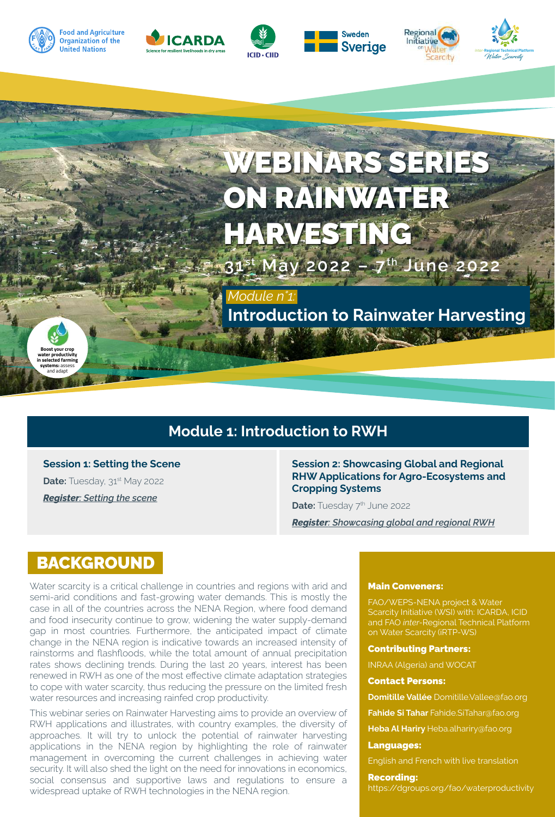

©FAO/Jaime Hoogesteger

**Boost your crop water productivity**  .<br>icted far **systems:** assess and adapt











# WEBINARS SERIES ON RAINWATER HARVESTING

**31 st May 2022 – 7th June 2022**

*Module n°1:* **Introduction to Rainwater Harvesting**

### **Module 1: Introduction to RWH**

**Session 1: Setting the Scene** 

**Date:** Tuesday, 31<sup>st</sup> May 2022 *Register[: Setting the scene](https://fao.zoom.us/webinar/register/WN_Fk-1JifjTCmUnaMRLw5zVg)*

**Session 2: Showcasing Global and Regional RHW Applications for Agro-Ecosystems and Cropping Systems**

**Date:** Tuesday 7<sup>th</sup> June 2022

*Register[: Showcasing global and regional RWH](https://fao.zoom.us/webinar/register/WN_GaGagUGRQ6qVaq81d6b04g)*

### BACKGROUND

Water scarcity is a critical challenge in countries and regions with arid and semi-arid conditions and fast-growing water demands. This is mostly the case in all of the countries across the NENA Region, where food demand and food insecurity continue to grow, widening the water supply-demand gap in most countries. Furthermore, the anticipated impact of climate change in the NENA region is indicative towards an increased intensity of rainstorms and flashfloods, while the total amount of annual precipitation rates shows declining trends. During the last 20 years, interest has been renewed in RWH as one of the most effective climate adaptation strategies to cope with water scarcity, thus reducing the pressure on the limited fresh water resources and increasing rainfed crop productivity.

This webinar series on Rainwater Harvesting aims to provide an overview of RWH applications and illustrates, with country examples, the diversity of approaches. It will try to unlock the potential of rainwater harvesting applications in the NENA region by highlighting the role of rainwater management in overcoming the current challenges in achieving water security. It will also shed the light on the need for innovations in economics, social consensus and supportive laws and regulations to ensure a widespread uptake of RWH technologies in the NENA region.

#### Main Conveners:

FAO/WEPS-NENA project & Water Scarcity Initiative (WSI) with: ICARDA, ICID and FAO *inter-*Regional Technical Platform on Water Scarcity (iRTP-WS)

#### Contributing Partners:

INRAA (Algeria) and WOCAT

#### Contact Persons:

**Domitille Vallée** Domitille.Vallee@fao.org

**Fahide Si Tahar** Fahide.SiTahar@fao.org

**Heba Al Hariry** Heba.alhariry@fao.org

#### Languages:

English and French with live translation

#### Recording:

https://dgroups.org/fao/waterproductivity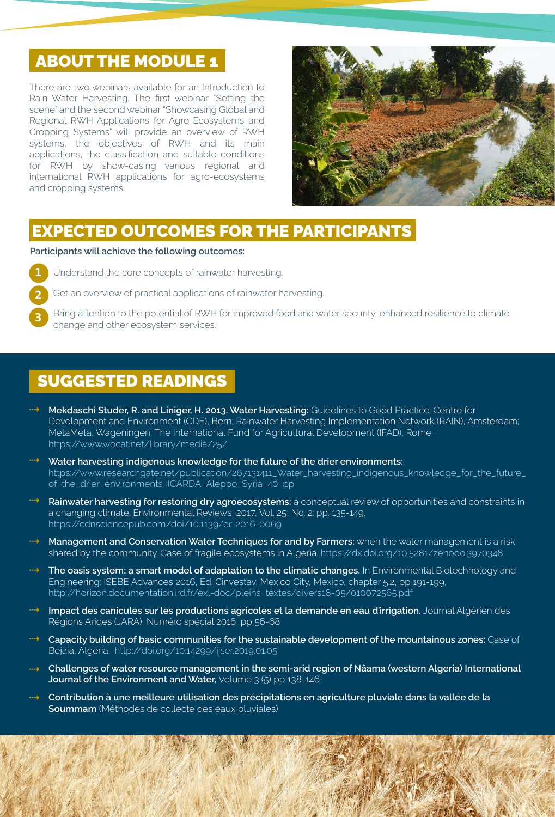## **ABOUT THE MODULE 1**

There are two webinars available for an Introduction to Rain Water Harvesting. The first webinar "Setting the scene" and the second webinar "Showcasing Global and Regional RWH Applications for Agro-Ecosystems and Cropping Systems" will provide an overview of RWH systems, the objectives of RWH and its main applications, the classification and suitable conditions for RWH by show-casing various regional and international RWH applications for agro-ecosystems and cropping systems.



### EXPECTED OUTCOMES FOR THE PARTICIPANTS

**Participants will achieve the following outcomes:**

1

Understand the core concepts of rainwater harvesting.



3

©FAO

Get an overview of practical applications of rainwater harvesting.

Bring attention to the potential of RWH for improved food and water security, enhanced resilience to climate change and other ecosystem services.

## SUGGESTED READINGS

- **Mekdaschi Studer, R. and Liniger, H. 2013. Water Harvesting:** Guidelines to Good Practice. Centre for Development and Environment (CDE), Bern; Rainwater Harvesting Implementation Network (RAIN), Amsterdam; MetaMeta, Wageningen; The International Fund for Agricultural Development (IFAD), Rome. https://www.wocat.net/library/media/25/
- **Water harvesting indigenous knowledge for the future of the drier environments:**  https://www.researchgate.net/publication/267131411\_Water\_harvesting\_indigenous\_knowledge\_for\_the\_future\_ of\_the\_drier\_environments\_ICARDA\_Aleppo\_Syria\_40\_pp
- **Rainwater harvesting for restoring dry agroecosystems:** a conceptual review of opportunities and constraints in a changing climate. Environmental Reviews, 2017, Vol. 25, No. 2: pp. 135-149. https://cdnsciencepub.com/doi/10.1139/er-2016-0069
- **Management and Conservation Water Techniques for and by Farmers:** when the water management is a risk shared by the community. Case of fragile ecosystems in Algeria. https://dx.doi.org/10.5281/zenodo.3970348
- **The oasis system: a smart model of adaptation to the climatic changes.** In Environmental Biotechnology and Engineering: ISEBE Advances 2016, Ed. Cinvestav, Mexico City, Mexico, chapter 5.2, pp 191-199, http://horizon.documentation.ird.fr/exl-doc/pleins\_textes/divers18-05/010072565.pdf
- **Impact des canicules sur les productions agricoles et la demande en eau d'irrigation.** Journal Algérien des Régions Arides (JARA), Numéro spécial 2016, pp 56-68
- **Capacity building of basic communities for the sustainable development of the mountainous zones:** Case of Bejaia, Algeria. http://doi.org/10.14299/ijser.2019.01.05
- <sup>111→</sup> Challenges of water resource management in the semi-arid region of Nâama (western Algeria) International **Journal of the Environment and Water,** Volume 3 (5) pp 138-146
- **Contribution à une meilleure utilisation des précipitations en agriculture pluviale dans la vallée de la Soummam** (Méthodes de collecte des eaux pluviales)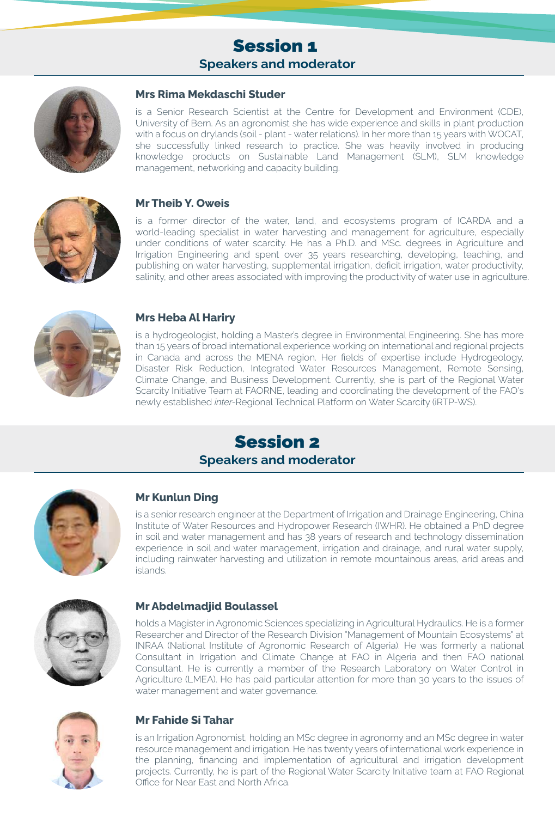### Session 1 **Speakers and moderator**



#### **Mrs Rima Mekdaschi Studer**

is a Senior Research Scientist at the Centre for Development and Environment (CDE), University of Bern. As an agronomist she has wide experience and skills in plant production with a focus on drylands (soil - plant - water relations). In her more than 15 years with WOCAT, she successfully linked research to practice. She was heavily involved in producing knowledge products on Sustainable Land Management (SLM), SLM knowledge management, networking and capacity building.



#### **Mr Theib Y. Oweis**

is a former director of the water, land, and ecosystems program of ICARDA and a world-leading specialist in water harvesting and management for agriculture, especially under conditions of water scarcity. He has a Ph.D. and MSc. degrees in Agriculture and Irrigation Engineering and spent over 35 years researching, developing, teaching, and publishing on water harvesting, supplemental irrigation, deficit irrigation, water productivity, salinity, and other areas associated with improving the productivity of water use in agriculture.



#### **Mrs Heba Al Hariry**

is a hydrogeologist, holding a Master's degree in Environmental Engineering. She has more than 15 years of broad international experience working on international and regional projects in Canada and across the MENA region. Her fields of expertise include Hydrogeology, Disaster Risk Reduction, Integrated Water Resources Management, Remote Sensing, Climate Change, and Business Development. Currently, she is part of the Regional Water Scarcity Initiative Team at FAORNE, leading and coordinating the development of the FAO's newly established *inter-*Regional Technical Platform on Water Scarcity (iRTP-WS).

### Session 2 **Speakers and moderator**



#### **Mr Kunlun Ding**

is a senior research engineer at the Department of Irrigation and Drainage Engineering, China Institute of Water Resources and Hydropower Research (IWHR). He obtained a PhD degree in soil and water management and has 38 years of research and technology dissemination experience in soil and water management, irrigation and drainage, and rural water supply, including rainwater harvesting and utilization in remote mountainous areas, arid areas and islands.



#### **Mr Abdelmadjid Boulassel**

holds a Magister in Agronomic Sciences specializing in Agricultural Hydraulics. He is a former Researcher and Director of the Research Division "Management of Mountain Ecosystems" at INRAA (National Institute of Agronomic Research of Algeria). He was formerly a national Consultant in Irrigation and Climate Change at FAO in Algeria and then FAO national Consultant. He is currently a member of the Research Laboratory on Water Control in Agriculture (LMEA). He has paid particular attention for more than 30 years to the issues of water management and water governance.



#### **Mr Fahide Si Tahar**

is an Irrigation Agronomist, holding an MSc degree in agronomy and an MSc degree in water resource management and irrigation. He has twenty years of international work experience in the planning, financing and implementation of agricultural and irrigation development projects. Currently, he is part of the Regional Water Scarcity Initiative team at FAO Regional Office for Near East and North Africa.